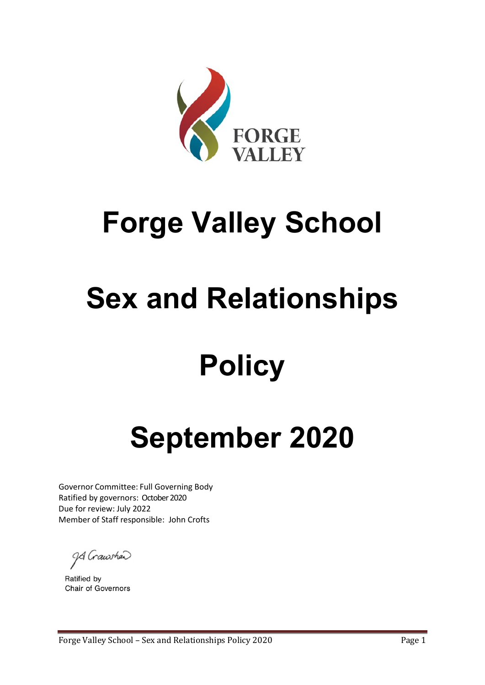

# **Forge Valley School**

# **Sex and Relationships**

# **Policy**

# **September 2020**

Governor Committee: Full Governing Body Ratified by governors: October 2020 Due for review: July 2022 Member of Staff responsible: John Crofts

9 Grawshead

Ratified by **Chair of Governors**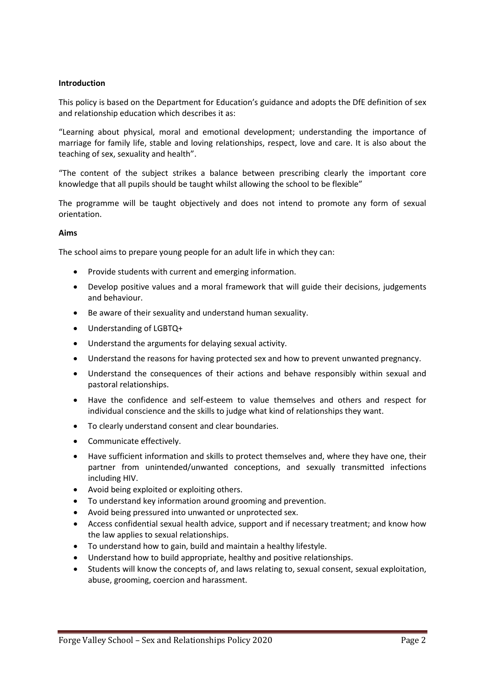## **Introduction**

This policy is based on the Department for Education's guidance and adopts the DfE definition of sex and relationship education which describes it as:

"Learning about physical, moral and emotional development; understanding the importance of marriage for family life, stable and loving relationships, respect, love and care. It is also about the teaching of sex, sexuality and health".

"The content of the subject strikes a balance between prescribing clearly the important core knowledge that all pupils should be taught whilst allowing the school to be flexible"

The programme will be taught objectively and does not intend to promote any form of sexual orientation.

### **Aims**

The school aims to prepare young people for an adult life in which they can:

- Provide students with current and emerging information.
- Develop positive values and a moral framework that will guide their decisions, judgements and behaviour.
- Be aware of their sexuality and understand human sexuality.
- Understanding of LGBTQ+
- Understand the arguments for delaying sexual activity.
- Understand the reasons for having protected sex and how to prevent unwanted pregnancy.
- Understand the consequences of their actions and behave responsibly within sexual and pastoral relationships.
- Have the confidence and self-esteem to value themselves and others and respect for individual conscience and the skills to judge what kind of relationships they want.
- To clearly understand consent and clear boundaries.
- Communicate effectively.
- Have sufficient information and skills to protect themselves and, where they have one, their partner from unintended/unwanted conceptions, and sexually transmitted infections including HIV.
- Avoid being exploited or exploiting others.
- To understand key information around grooming and prevention.
- Avoid being pressured into unwanted or unprotected sex.
- Access confidential sexual health advice, support and if necessary treatment; and know how the law applies to sexual relationships.
- To understand how to gain, build and maintain a healthy lifestyle.
- Understand how to build appropriate, healthy and positive relationships.
- Students will know the concepts of, and laws relating to, sexual consent, sexual exploitation, abuse, grooming, coercion and harassment.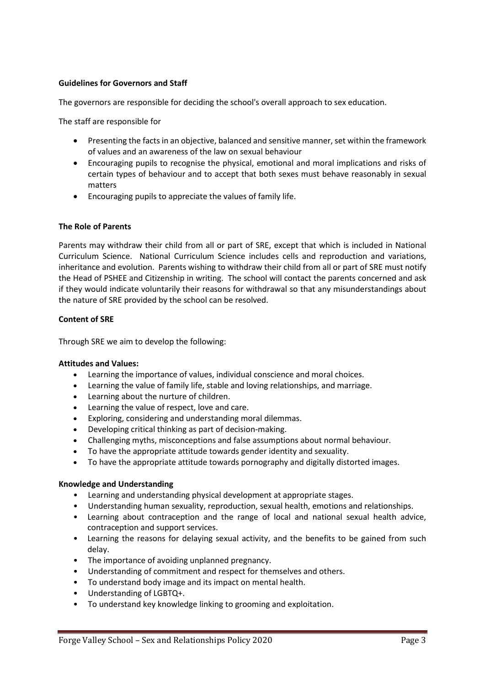# **Guidelines for Governors and Staff**

The governors are responsible for deciding the school's overall approach to sex education.

The staff are responsible for

- Presenting the facts in an objective, balanced and sensitive manner, set within the framework of values and an awareness of the law on sexual behaviour
- Encouraging pupils to recognise the physical, emotional and moral implications and risks of certain types of behaviour and to accept that both sexes must behave reasonably in sexual matters
- Encouraging pupils to appreciate the values of family life.

### **The Role of Parents**

Parents may withdraw their child from all or part of SRE, except that which is included in National Curriculum Science. National Curriculum Science includes cells and reproduction and variations, inheritance and evolution. Parents wishing to withdraw their child from all or part of SRE must notify the Head of PSHEE and Citizenship in writing. The school will contact the parents concerned and ask if they would indicate voluntarily their reasons for withdrawal so that any misunderstandings about the nature of SRE provided by the school can be resolved.

### **Content of SRE**

Through SRE we aim to develop the following:

#### **Attitudes and Values:**

- Learning the importance of values, individual conscience and moral choices.
- Learning the value of family life, stable and loving relationships, and marriage.
- Learning about the nurture of children.
- Learning the value of respect, love and care.
- Exploring, considering and understanding moral dilemmas.
- Developing critical thinking as part of decision-making.
- Challenging myths, misconceptions and false assumptions about normal behaviour.
- To have the appropriate attitude towards gender identity and sexuality.
- To have the appropriate attitude towards pornography and digitally distorted images.

### **Knowledge and Understanding**

- Learning and understanding physical development at appropriate stages.
- Understanding human sexuality, reproduction, sexual health, emotions and relationships.
- Learning about contraception and the range of local and national sexual health advice, contraception and support services.
- Learning the reasons for delaying sexual activity, and the benefits to be gained from such delay.
- The importance of avoiding unplanned pregnancy.
- Understanding of commitment and respect for themselves and others.
- To understand body image and its impact on mental health.
- Understanding of LGBTQ+.
- To understand key knowledge linking to grooming and exploitation.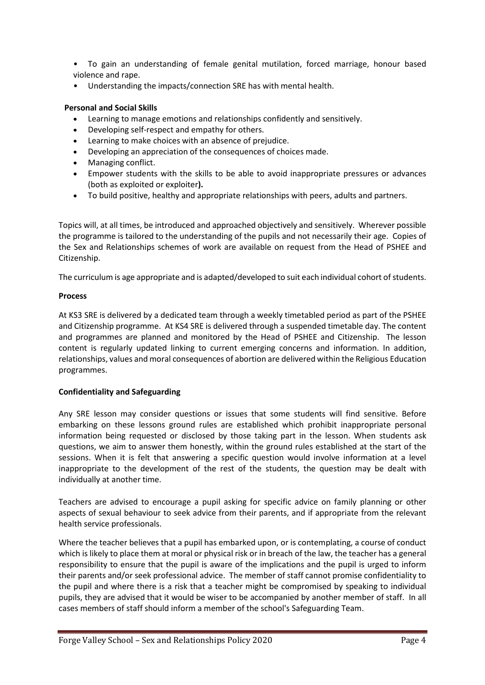- To gain an understanding of female genital mutilation, forced marriage, honour based violence and rape.
- Understanding the impacts/connection SRE has with mental health.

# **Personal and Social Skills**

- Learning to manage emotions and relationships confidently and sensitively.
- Developing self-respect and empathy for others.
- Learning to make choices with an absence of prejudice.
- Developing an appreciation of the consequences of choices made.
- Managing conflict.
- Empower students with the skills to be able to avoid inappropriate pressures or advances (both as exploited or exploiter**).**
- To build positive, healthy and appropriate relationships with peers, adults and partners.

Topics will, at all times, be introduced and approached objectively and sensitively. Wherever possible the programme is tailored to the understanding of the pupils and not necessarily their age. Copies of the Sex and Relationships schemes of work are available on request from the Head of PSHEE and Citizenship.

The curriculum is age appropriate and is adapted/developed to suit each individual cohort of students.

## **Process**

At KS3 SRE is delivered by a dedicated team through a weekly timetabled period as part of the PSHEE and Citizenship programme. At KS4 SRE is delivered through a suspended timetable day. The content and programmes are planned and monitored by the Head of PSHEE and Citizenship. The lesson content is regularly updated linking to current emerging concerns and information. In addition, relationships, values and moral consequences of abortion are delivered within the Religious Education programmes.

# **Confidentiality and Safeguarding**

Any SRE lesson may consider questions or issues that some students will find sensitive. Before embarking on these lessons ground rules are established which prohibit inappropriate personal information being requested or disclosed by those taking part in the lesson. When students ask questions, we aim to answer them honestly, within the ground rules established at the start of the sessions. When it is felt that answering a specific question would involve information at a level inappropriate to the development of the rest of the students, the question may be dealt with individually at another time.

Teachers are advised to encourage a pupil asking for specific advice on family planning or other aspects of sexual behaviour to seek advice from their parents, and if appropriate from the relevant health service professionals.

Where the teacher believes that a pupil has embarked upon, or is contemplating, a course of conduct which is likely to place them at moral or physical risk or in breach of the law, the teacher has a general responsibility to ensure that the pupil is aware of the implications and the pupil is urged to inform their parents and/or seek professional advice. The member of staff cannot promise confidentiality to the pupil and where there is a risk that a teacher might be compromised by speaking to individual pupils, they are advised that it would be wiser to be accompanied by another member of staff. In all cases members of staff should inform a member of the school's Safeguarding Team.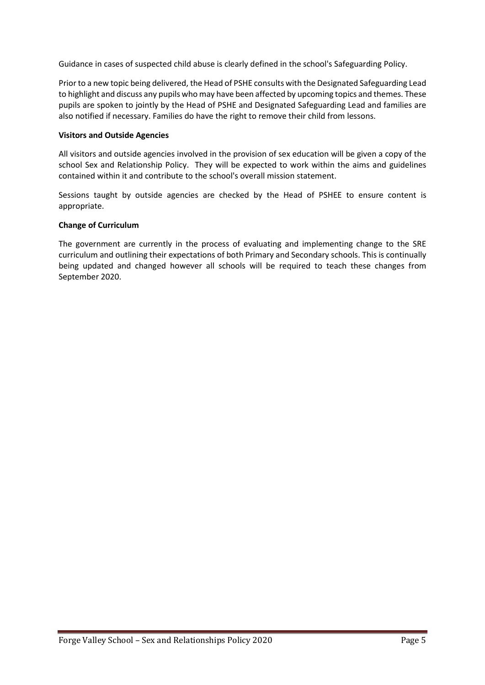Guidance in cases of suspected child abuse is clearly defined in the school's Safeguarding Policy.

Prior to a new topic being delivered, the Head of PSHE consults with the Designated Safeguarding Lead to highlight and discuss any pupils who may have been affected by upcoming topics and themes. These pupils are spoken to jointly by the Head of PSHE and Designated Safeguarding Lead and families are also notified if necessary. Families do have the right to remove their child from lessons.

## **Visitors and Outside Agencies**

All visitors and outside agencies involved in the provision of sex education will be given a copy of the school Sex and Relationship Policy. They will be expected to work within the aims and guidelines contained within it and contribute to the school's overall mission statement.

Sessions taught by outside agencies are checked by the Head of PSHEE to ensure content is appropriate.

## **Change of Curriculum**

The government are currently in the process of evaluating and implementing change to the SRE curriculum and outlining their expectations of both Primary and Secondary schools. This is continually being updated and changed however all schools will be required to teach these changes from September 2020.